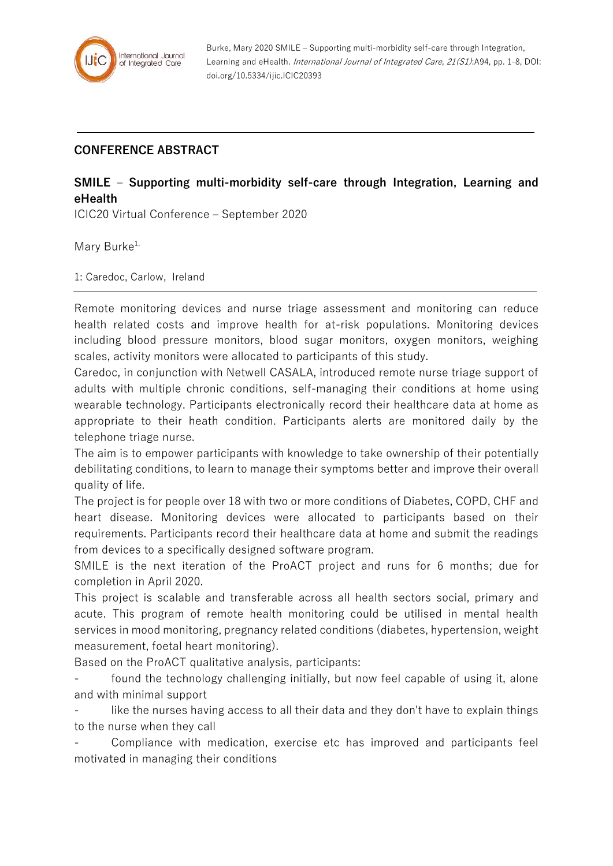

Burke, Mary 2020 SMILE – Supporting multi-morbidity self-care through Integration, Learning and eHealth. International Journal of Integrated Care, 21(S1):A94, pp. 1-8, DOI: doi.org/10.5334/ijic.ICIC20393

## **CONFERENCE ABSTRACT**

## **SMILE – Supporting multi-morbidity self-care through Integration, Learning and eHealth**

ICIC20 Virtual Conference – September 2020

Mary Burke<sup>1,</sup>

1: Caredoc, Carlow, Ireland

Remote monitoring devices and nurse triage assessment and monitoring can reduce health related costs and improve health for at-risk populations. Monitoring devices including blood pressure monitors, blood sugar monitors, oxygen monitors, weighing scales, activity monitors were allocated to participants of this study.

Caredoc, in conjunction with Netwell CASALA, introduced remote nurse triage support of adults with multiple chronic conditions, self-managing their conditions at home using wearable technology. Participants electronically record their healthcare data at home as appropriate to their heath condition. Participants alerts are monitored daily by the telephone triage nurse.

The aim is to empower participants with knowledge to take ownership of their potentially debilitating conditions, to learn to manage their symptoms better and improve their overall quality of life.

The project is for people over 18 with two or more conditions of Diabetes, COPD, CHF and heart disease. Monitoring devices were allocated to participants based on their requirements. Participants record their healthcare data at home and submit the readings from devices to a specifically designed software program.

SMILE is the next iteration of the ProACT project and runs for 6 months; due for completion in April 2020.

This project is scalable and transferable across all health sectors social, primary and acute. This program of remote health monitoring could be utilised in mental health services in mood monitoring, pregnancy related conditions (diabetes, hypertension, weight measurement, foetal heart monitoring).

Based on the ProACT qualitative analysis, participants:

found the technology challenging initially, but now feel capable of using it, alone and with minimal support

like the nurses having access to all their data and they don't have to explain things to the nurse when they call

- Compliance with medication, exercise etc has improved and participants feel motivated in managing their conditions